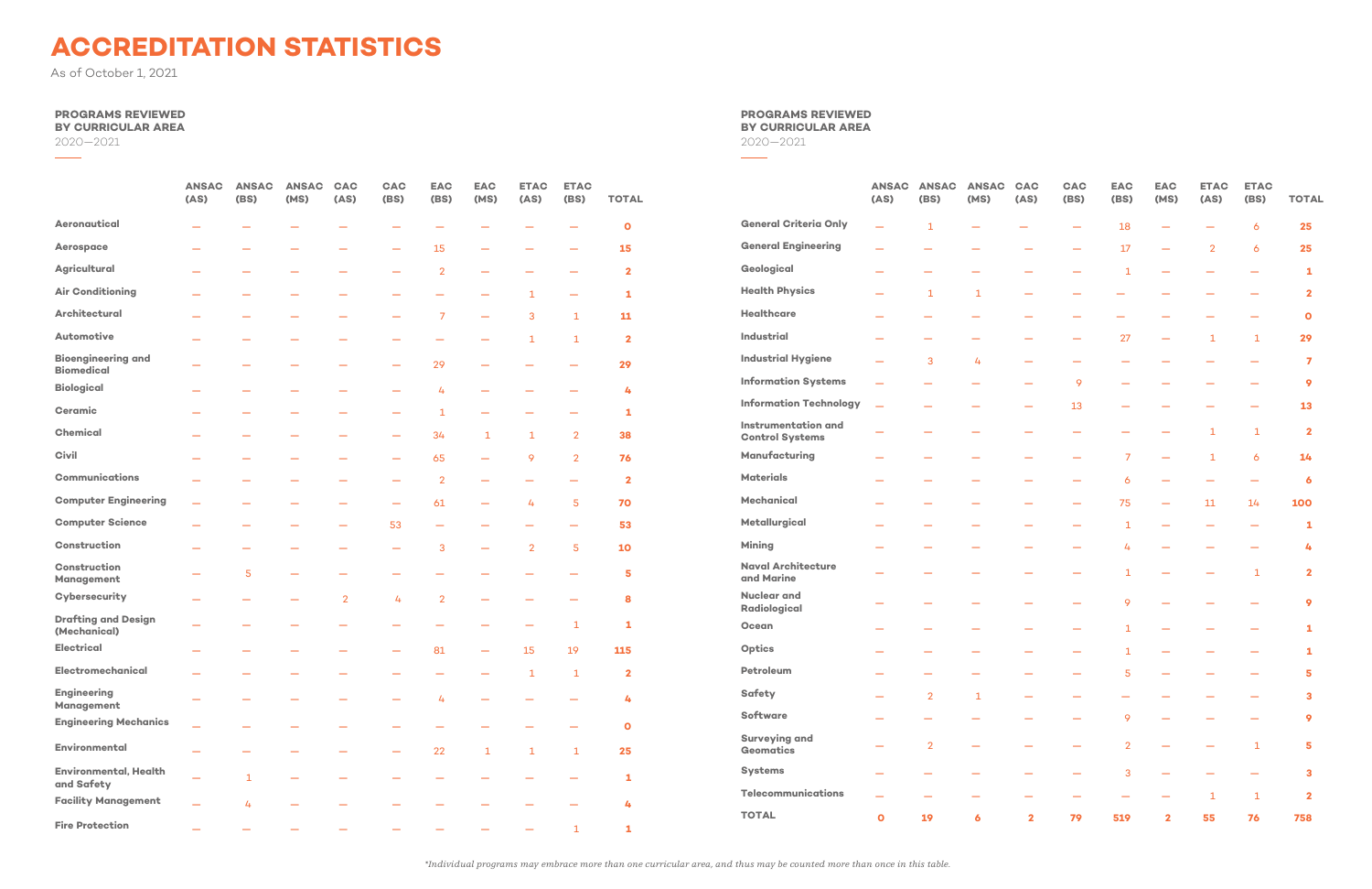### **PROGRAMS REVIEWED**

**BY CURRICULAR AREA**

2020—2021

 $\overline{\phantom{a}}$ 

|                                                | <b>ANSAC</b><br>(AS) | <b>ANSAC</b><br>(BS) | <b>ANSAC</b><br>(MS) | CAC<br>(AS)    | CAC<br><b>(BS)</b> | <b>EAC</b><br>(BS) | <b>EAC</b><br>(MS) | <b>ETAC</b><br>(AS) | <b>ETAC</b><br>(BS) | <b>TOTAL</b> |                                                      | <b>ANSAC</b><br>(AS) | <b>ANSAC</b><br>(BS) | <b>ANSAC</b><br>(MS) |
|------------------------------------------------|----------------------|----------------------|----------------------|----------------|--------------------|--------------------|--------------------|---------------------|---------------------|--------------|------------------------------------------------------|----------------------|----------------------|----------------------|
| Aeronautical                                   |                      |                      |                      |                |                    |                    |                    |                     |                     | $\mathbf{o}$ | <b>General Criteria Only</b>                         |                      | -1                   |                      |
| <b>Aerospace</b>                               |                      |                      |                      |                |                    | 15                 |                    |                     |                     | 15           | <b>General Engineering</b>                           |                      |                      |                      |
| <b>Agricultural</b>                            |                      |                      |                      |                |                    | $\overline{2}$     |                    |                     |                     | $\mathbf{2}$ | Geological                                           |                      |                      |                      |
| <b>Air Conditioning</b>                        |                      |                      |                      |                |                    |                    |                    | 1                   |                     | 1            | <b>Health Physics</b>                                |                      | $\mathbf{1}$         | $\mathbf{1}$         |
| <b>Architectural</b>                           |                      |                      |                      |                |                    | 7                  |                    | 3                   | 1                   | 11           | Healthcare                                           |                      |                      |                      |
| Automotive                                     |                      |                      |                      |                |                    |                    |                    | 1                   | 1                   | $\mathbf{2}$ | Industrial                                           |                      |                      |                      |
| <b>Bioengineering and</b><br><b>Biomedical</b> |                      |                      |                      |                |                    | 29                 |                    |                     |                     | 29           | <b>Industrial Hygiene</b>                            |                      | 3                    | 4                    |
| <b>Biological</b>                              |                      |                      |                      |                |                    | 4                  |                    |                     |                     | 4            | <b>Information Systems</b>                           |                      |                      |                      |
| <b>Ceramic</b>                                 |                      |                      |                      |                |                    | 1                  |                    |                     |                     | 1            | <b>Information Technology</b>                        |                      |                      |                      |
| <b>Chemical</b>                                |                      |                      |                      |                |                    | 34                 | 1                  | 1                   | $\overline{2}$      | 38           | <b>Instrumentation and</b><br><b>Control Systems</b> |                      |                      |                      |
| Civil                                          |                      |                      |                      |                |                    | 65                 |                    | 9                   | $\overline{2}$      | 76           | Manufacturing                                        |                      |                      |                      |
| <b>Communications</b>                          |                      |                      |                      |                |                    | $\overline{2}$     |                    |                     |                     | $\mathbf{2}$ | <b>Materials</b>                                     |                      |                      |                      |
| <b>Computer Engineering</b>                    |                      |                      |                      |                |                    | 61                 |                    | 4                   | 5                   | 70           | Mechanical                                           |                      |                      |                      |
| <b>Computer Science</b>                        |                      |                      |                      |                | 53                 |                    |                    |                     |                     | 53           | Metallurgical                                        |                      |                      |                      |
| Construction                                   |                      |                      |                      |                |                    | 3                  |                    | $\overline{2}$      | 5                   | <b>10</b>    | <b>Mining</b>                                        |                      |                      |                      |
| <b>Construction</b><br>Management              |                      | 5                    |                      |                |                    |                    |                    |                     |                     | 5            | <b>Naval Architecture</b><br>and Marine              |                      |                      |                      |
| Cybersecurity                                  |                      |                      |                      | $\overline{2}$ | 4                  | $\overline{2}$     |                    |                     |                     | 8            | <b>Nuclear and</b><br>Radiological                   |                      |                      |                      |
| <b>Drafting and Design</b><br>(Mechanical)     |                      |                      |                      |                |                    |                    |                    |                     | 1                   | 1            | Ocean                                                |                      |                      |                      |
| <b>Electrical</b>                              |                      |                      |                      |                |                    | 81                 |                    | 15                  | 19                  | 115          | Optics                                               |                      |                      |                      |
| Electromechanical                              |                      |                      |                      |                |                    |                    |                    | 1                   | 1                   | $\mathbf{2}$ | Petroleum                                            |                      |                      |                      |
| <b>Engineering</b><br>Management               |                      |                      |                      |                |                    |                    |                    |                     |                     | 4            | <b>Safety</b>                                        |                      | $\overline{2}$       | $\mathbf{1}$         |
| <b>Engineering Mechanics</b>                   |                      |                      |                      |                |                    |                    |                    |                     |                     | $\mathbf{o}$ | <b>Software</b>                                      |                      |                      |                      |
| Environmental                                  |                      |                      |                      |                |                    | 22                 | $\mathbf{1}$       | 1                   | $\mathbf{1}$        | 25           | <b>Surveying and</b><br><b>Geomatics</b>             |                      | $\overline{2}$       |                      |
| <b>Environmental, Health</b><br>and Safety     |                      | 1                    |                      |                |                    |                    |                    |                     |                     | 1            | <b>Systems</b>                                       |                      |                      |                      |
| <b>Facility Management</b>                     |                      | 4                    |                      |                |                    |                    |                    |                     |                     | 4            | Telecommunications                                   |                      |                      |                      |
| <b>Fire Protection</b>                         |                      |                      |                      |                |                    |                    |                    |                     |                     |              | <b>TOTAL</b>                                         | $\mathbf{o}$         | 19                   | 6                    |

#### **PROGRAMS REVIEWED BY CURRICULAR AREA** 2020—2021

 $\overline{\phantom{a}}$ 

|                                               | <b>ANSAC</b><br>(AS)     | <b>ANSAC</b><br>(BS)     | <b>ANSAC</b><br>(MS)     | <b>CAC</b><br>(AS) | <b>CAC</b><br>(BS)       | <b>EAC</b><br>(BS)       | <b>EAC</b><br>(MS)       | <b>ETAC</b><br>(AS) | <b>ETAC</b><br>(BS)      | <b>TOTAL</b>            |
|-----------------------------------------------|--------------------------|--------------------------|--------------------------|--------------------|--------------------------|--------------------------|--------------------------|---------------------|--------------------------|-------------------------|
| <b>General Criteria Only</b>                  | $\overline{\phantom{0}}$ | $\mathbf{1}$             |                          |                    |                          | 18                       |                          |                     | 6                        | 25                      |
| <b>General Engineering</b>                    |                          |                          |                          |                    |                          | 17                       | $\overline{\phantom{0}}$ | $\overline{2}$      | 6                        | 25                      |
| Geological                                    |                          | $\overline{\phantom{0}}$ |                          |                    |                          | $\mathbf 1$              | -                        |                     | _                        | 1                       |
| <b>Health Physics</b>                         | $\overline{\phantom{0}}$ | $\mathbf{1}$             | $\mathbf{1}$             |                    |                          |                          | $\overline{\phantom{0}}$ | -                   | -                        | $\overline{\mathbf{2}}$ |
| <b>Healthcare</b>                             |                          |                          |                          |                    |                          |                          |                          |                     |                          | $\mathbf{o}$            |
| <b>Industrial</b>                             |                          | $\overline{\phantom{0}}$ |                          |                    |                          | 27                       | $\overline{\phantom{0}}$ | $\mathbf{1}$        | 1                        | 29                      |
| <b>Industrial Hygiene</b>                     |                          | 3                        | 4                        |                    | -                        | $\overline{\phantom{0}}$ |                          |                     | -                        | $\overline{7}$          |
| <b>Information Systems</b>                    |                          |                          |                          |                    | 9                        |                          |                          |                     |                          | 9                       |
| <b>Information Technology</b>                 | $\equiv$                 |                          |                          |                    | 13                       | $\overline{\phantom{0}}$ |                          |                     |                          | 13                      |
| Instrumentation and<br><b>Control Systems</b> |                          |                          |                          |                    |                          | $\equiv$                 | $\overline{\phantom{0}}$ | $\mathbf{1}$        | 1                        | $\overline{\mathbf{2}}$ |
| Manufacturing                                 |                          |                          |                          |                    |                          | $\overline{7}$           |                          | $\mathbf{1}$        | 6                        | 14                      |
| Materials                                     |                          | -                        |                          |                    |                          | 6                        | $\overline{\phantom{0}}$ |                     | $\overline{\phantom{0}}$ | 6                       |
| Mechanical                                    |                          |                          |                          |                    |                          | 75                       | -                        | $11\,$              | 14                       | 100                     |
| Metallurgical                                 |                          |                          |                          |                    |                          | $\mathbf{1}$             |                          |                     |                          | 1                       |
| Mining                                        |                          |                          |                          |                    |                          | 4                        |                          |                     |                          | 4                       |
| <b>Naval Architecture</b><br>and Marine       |                          |                          |                          |                    |                          | $\mathbf{1}$             |                          |                     | 1                        | $\overline{\mathbf{2}}$ |
| <b>Nuclear and</b><br>Radiological            |                          |                          |                          |                    |                          | 9                        |                          |                     |                          | 9                       |
| Ocean                                         |                          |                          |                          |                    |                          | $\mathbf{1}$             | $\overline{\phantom{0}}$ |                     |                          | 1                       |
| <b>Optics</b>                                 |                          |                          |                          |                    |                          | $\mathbf{1}$             |                          |                     |                          | 1                       |
| Petroleum                                     |                          |                          |                          |                    |                          | 5                        |                          |                     |                          | 5                       |
| Safety                                        |                          | $\overline{2}$           | $\mathbf 1$              |                    |                          |                          |                          |                     |                          | 3                       |
| Software                                      |                          | -                        | $\overline{\phantom{0}}$ |                    |                          | 9                        |                          |                     |                          | 9                       |
| <b>Surveying and</b><br>Geomatics             |                          | $\overline{2}$           |                          |                    |                          | $\overline{2}$           |                          |                     | $\mathbf{1}$             | 5                       |
| <b>Systems</b>                                |                          | -                        |                          |                    |                          | 3                        |                          |                     |                          | 3                       |
| <b>Telecommunications</b>                     |                          |                          |                          |                    | $\overline{\phantom{0}}$ | $\overline{\phantom{m}}$ |                          | $\mathbf 1$         | $\mathbf 1$              | $\mathbf{2}$            |
| <b>TOTAL</b>                                  | $\mathbf{o}$             | 19                       | $\ddot{\bullet}$         | $\mathbf{2}$       | 79                       | 519                      | $\mathbf{2}$             | 55                  | 76                       | 758                     |

*\*Individual programs may embrace more than one curricular area, and thus may be counted more than once in this table.*

# **ACCREDITATION STATISTICS**

As of October 1, 2021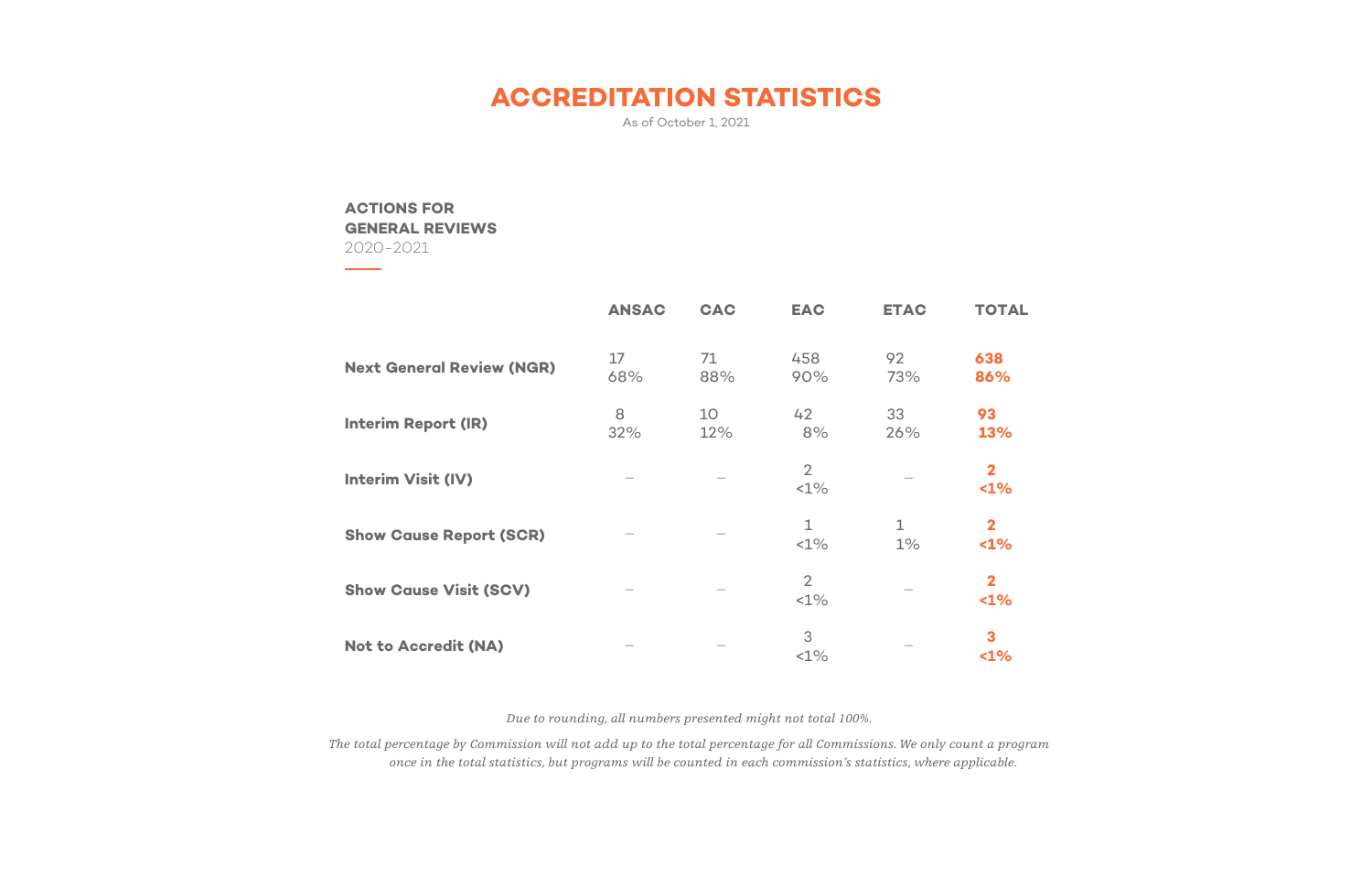## **ACCREDITATION STATISTICS**

As of October 1, 2021

### **ACTIONS FOR GENERAL REVIEWS**

2020-2021

|                                  | <b>ANSAC</b> | <b>CAC</b> | <b>EAC</b>             | <b>ETAC</b>           | TOTAL                          |
|----------------------------------|--------------|------------|------------------------|-----------------------|--------------------------------|
| <b>Next General Review (NGR)</b> | 17<br>68%    | 71<br>88%  | 458<br>90%             | 92<br>73%             | 638<br>86%                     |
| <b>Interim Report (IR)</b>       | 8<br>32%     | 10<br>12%  | 42<br>8%               | 33<br>26%             | 93<br>13%                      |
| <b>Interim Visit (IV)</b>        |              |            | 2<br><1%               |                       | $\mathbf{2}$<br>1%             |
| <b>Show Cause Report (SCR)</b>   |              |            | $\mathbf{1}$<br>$<1\%$ | $\mathbf{1}$<br>$1\%$ | $\overline{\mathbf{2}}$<br><1% |
| <b>Show Cause Visit (SCV)</b>    |              |            | $\overline{2}$<br><1%  |                       | $\mathbf{2}$<br>$1\%$          |
| <b>Not to Accredit (NA)</b>      |              |            | 3<br><1%               |                       | 3<br>$1\%$                     |

- **86%**
- **13%**
- **<1%**
- 
- **<1%**
- 

*Due to rounding, all numbers presented might not total 100%.*

*The total percentage by Commission will not add up to the total percentage for all Commissions. We only count a program once in the total statistics, but programs will be counted in each commission's statistics, where applicable.*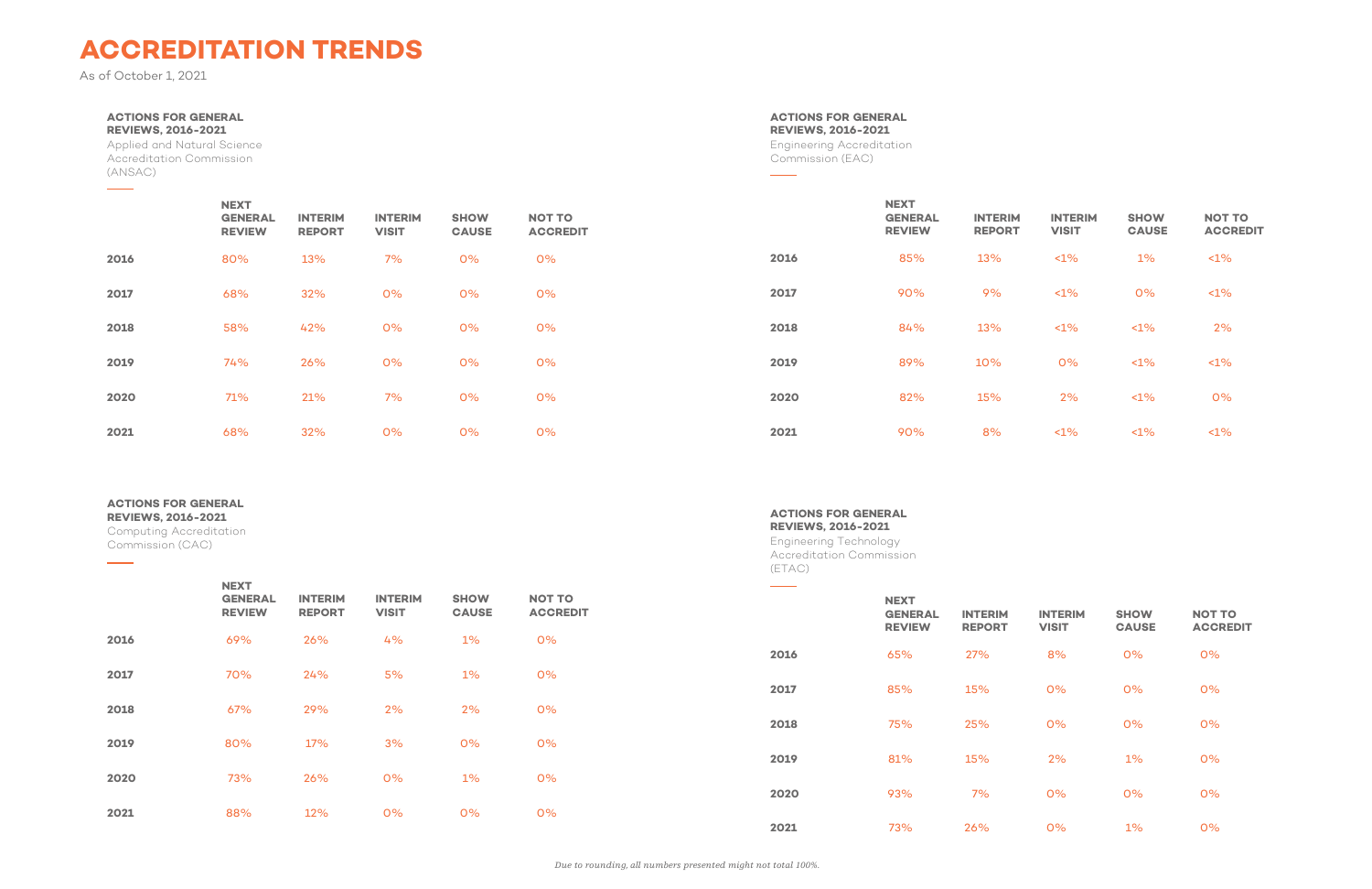# **ACCREDITATION TRENDS**

As of October 1, 2021

 $\frac{1}{2}$ 

#### **ACTIONS FOR GENERAL REVIEWS, 2016-2021**

Applied and Natural Science Accreditation Commission (ANSAC)

### **ACTIONS FOR GENERAL**

**REVIEWS, 2016-2021**

 $\overline{\phantom{a}}$ 

Computing Accreditation Commission (CAC)

### **NEXT GENERAL REVIEW INTERIM REPORT INTERIM VISIT SHOW CAUSE NOT TO ACCREDIT 2016** 69% 26% 4% 1% 0% **2017** 70% 24% 5% 1% 0% **2018** 67% 29% 2% 2% 0% **2019** 80% 17% 3% 0% 0% **2020** 73% 26% 0% 1% 0% **2021** 88% 12% 0% 0% 0%

|      | <b>NEXT</b><br><b>GENERAL</b><br><b>REVIEW</b> | <b>INTERIM</b><br><b>REPORT</b> | <b>INTERIM</b><br><b>VISIT</b> | <b>SHOW</b><br><b>CAUSE</b> | <b>NOT TO</b><br><b>ACCREDIT</b> |      | <b>NEXT</b><br><b>GENERAL</b><br><b>REVIEW</b> | <b>INTERIM</b><br><b>REPORT</b> | <b>INTERIM</b><br><b>VISIT</b> | <b>SHOW</b><br><b>CAUSE</b> | <b>NOT TO</b><br><b>ACCREDIT</b> |
|------|------------------------------------------------|---------------------------------|--------------------------------|-----------------------------|----------------------------------|------|------------------------------------------------|---------------------------------|--------------------------------|-----------------------------|----------------------------------|
| 2016 | 80%                                            | 13%                             | 7%                             | 0%                          | 0%                               | 2016 | 85%                                            | 13%                             | $1\%$                          | $1\%$                       | $1\%$                            |
| 2017 | 68%                                            | 32%                             | 0%                             | 0%                          | O%                               | 2017 | 90%                                            | 9%                              | $1\%$                          | 0%                          | $1\%$                            |
| 2018 | 58%                                            | 42%                             | 0%                             | 0%                          | 0%                               | 2018 | 84%                                            | 13%                             | $1\%$                          | $<1\%$                      | 2%                               |
| 2019 | 74%                                            | 26%                             | 0%                             | 0%                          | O%                               | 2019 | 89%                                            | 10%                             | 0%                             | $1\%$                       | $1\%$                            |
| 2020 | 71%                                            | 21%                             | 7%                             | 0%                          | 0%                               | 2020 | 82%                                            | 15%                             | 2%                             | $1\%$                       | O%                               |
| 2021 | 68%                                            | 32%                             | 0%                             | 0%                          | 0%                               | 2021 | 90%                                            | 8%                              | $<1\%$                         | $1\%$                       | $<1\%$                           |

**ACTIONS FOR GENERAL REVIEWS, 2016-2021**

Engineering Accreditation Commission (EAC)

 $\sim$ 

<u> The Common State State Sta</u>

**ACTIONS FOR GENERAL REVIEWS, 2016-2021**

Engineering Technology Accreditation Commission (ETAC)

**NEXT** 

| <b>INTERIM</b><br>VISIT | <b>SHOW</b><br><b>CAUSE</b> | <b>NOT TO</b><br><b>ACCREDIT</b> |
|-------------------------|-----------------------------|----------------------------------|
| 8%                      | 0%                          | 0%                               |
| $0\%$                   | 0%                          | 0%                               |
| $0\%$                   | 0%                          | 0%                               |
| 2%                      | 1%                          | 0%                               |
| 0%                      | 0%                          | 0%                               |
| 0%                      | $1\%$                       | 0%                               |

|      | <b>GENERAL</b><br><b>REVIEW</b> | <b>INTERIM</b><br><b>REPORT</b> | <b>INTERIM</b><br><b>VISIT</b> | <b>SHOW</b><br><b>CAUSE</b> | <b>NOT</b><br><b>ACC</b> |
|------|---------------------------------|---------------------------------|--------------------------------|-----------------------------|--------------------------|
| 2016 | 65%                             | 27%                             | 8%                             | 0%                          | 0%                       |
| 2017 | 85%                             | 15%                             | O%                             | O%                          | 0%                       |
| 2018 | 75%                             | 25%                             | 0%                             | 0%                          | 0%                       |
| 2019 | 81%                             | 15%                             | 2%                             | $1\%$                       | 0%                       |
| 2020 | 93%                             | 7%                              | 0%                             | 0%                          | 0%                       |
| 2021 | 73%                             | 26%                             | 0%                             | 1%                          | 0%                       |